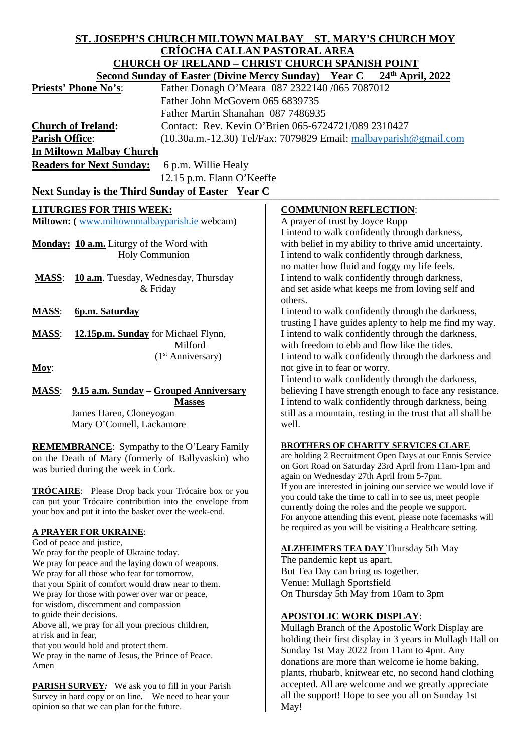| ST. JOSEPH'S CHURCH MILTOWN MALBAY ST. MARY'S CHURCH MOY                                                                        |                                                                                                                   |
|---------------------------------------------------------------------------------------------------------------------------------|-------------------------------------------------------------------------------------------------------------------|
| <b>CRÍOCHA CALLAN PASTORAL AREA</b>                                                                                             |                                                                                                                   |
| <b>CHURCH OF IRELAND - CHRIST CHURCH SPANISH POINT</b><br>Second Sunday of Easter (Divine Mercy Sunday) Year C 24th April, 2022 |                                                                                                                   |
|                                                                                                                                 |                                                                                                                   |
| Father John McGovern 065 6839735                                                                                                |                                                                                                                   |
| Father Martin Shanahan 087 7486935                                                                                              |                                                                                                                   |
| <b>Church of Ireland:</b>                                                                                                       | Contact: Rev. Kevin O'Brien 065-6724721/089 2310427                                                               |
| <b>Parish Office:</b><br>$(10.30a.m.-12.30)$ Tel/Fax: 7079829 Email: $m$ albayparish@gmail.com                                  |                                                                                                                   |
| <b>In Miltown Malbay Church</b>                                                                                                 |                                                                                                                   |
| <b>Readers for Next Sunday:</b><br>6 p.m. Willie Healy                                                                          |                                                                                                                   |
|                                                                                                                                 |                                                                                                                   |
| 12.15 p.m. Flann O'Keeffe                                                                                                       |                                                                                                                   |
| Next Sunday is the Third Sunday of Easter Year C                                                                                |                                                                                                                   |
| <b>LITURGIES FOR THIS WEEK:</b>                                                                                                 | <b>COMMUNION REFLECTION:</b>                                                                                      |
| Miltown: (www.miltownmalbayparish.ie webcam)                                                                                    | A prayer of trust by Joyce Rupp                                                                                   |
|                                                                                                                                 | I intend to walk confidently through darkness,                                                                    |
| Monday: 10 a.m. Liturgy of the Word with                                                                                        | with belief in my ability to thrive amid uncertainty.                                                             |
| Holy Communion                                                                                                                  | I intend to walk confidently through darkness,                                                                    |
|                                                                                                                                 | no matter how fluid and foggy my life feels.                                                                      |
| 10 a.m. Tuesday, Wednesday, Thursday<br><b>MASS:</b>                                                                            | I intend to walk confidently through darkness,                                                                    |
| & Friday                                                                                                                        | and set aside what keeps me from loving self and                                                                  |
|                                                                                                                                 | others.                                                                                                           |
| <b>MASS:</b><br>6p.m. Saturday                                                                                                  | I intend to walk confidently through the darkness,                                                                |
|                                                                                                                                 | trusting I have guides aplenty to help me find my way.                                                            |
| <b>MASS:</b><br>12.15p.m. Sunday for Michael Flynn,<br>Milford                                                                  | I intend to walk confidently through the darkness,<br>with freedom to ebb and flow like the tides.                |
| (1 <sup>st</sup> Anniversary)                                                                                                   | I intend to walk confidently through the darkness and                                                             |
| Moy:                                                                                                                            | not give in to fear or worry.                                                                                     |
|                                                                                                                                 | I intend to walk confidently through the darkness,                                                                |
| 9.15 a.m. Sunday - Grouped Anniversary<br><b>MASS:</b>                                                                          | believing I have strength enough to face any resistance.                                                          |
| <b>Masses</b>                                                                                                                   | I intend to walk confidently through darkness, being                                                              |
| James Haren, Cloneyogan                                                                                                         | still as a mountain, resting in the trust that all shall be                                                       |
| Mary O'Connell, Lackamore                                                                                                       | well.                                                                                                             |
|                                                                                                                                 |                                                                                                                   |
| <b>REMEMBRANCE:</b> Sympathy to the O'Leary Family                                                                              | <b>BROTHERS OF CHARITY SERVICES CLARE</b>                                                                         |
| on the Death of Mary (formerly of Ballyvaskin) who                                                                              | are holding 2 Recruitment Open Days at our Ennis Service<br>on Gort Road on Saturday 23rd April from 11am-1pm and |
| was buried during the week in Cork.                                                                                             | again on Wednesday 27th April from 5-7pm.                                                                         |
|                                                                                                                                 | If you are interested in joining our service we would love if                                                     |
| <b>TRÓCAIRE:</b> Please Drop back your Trócaire box or you<br>can put your Trócaire contribution into the envelope from         | you could take the time to call in to see us, meet people                                                         |
| your box and put it into the basket over the week-end.                                                                          | currently doing the roles and the people we support.                                                              |
|                                                                                                                                 | For anyone attending this event, please note facemasks will                                                       |
| <b>A PRAYER FOR UKRAINE:</b>                                                                                                    | be required as you will be visiting a Healthcare setting.                                                         |
| God of peace and justice,                                                                                                       | <b>ALZHEIMERS TEA DAY Thursday 5th May</b>                                                                        |
| We pray for the people of Ukraine today.                                                                                        | The pandemic kept us apart.                                                                                       |
| We pray for peace and the laying down of weapons.<br>We pray for all those who fear for tomorrow,                               | But Tea Day can bring us together.                                                                                |
| that your Spirit of comfort would draw near to them.                                                                            | Venue: Mullagh Sportsfield                                                                                        |
| We pray for those with power over war or peace,                                                                                 | On Thursday 5th May from 10am to 3pm                                                                              |
| for wisdom, discernment and compassion                                                                                          |                                                                                                                   |
| to guide their decisions.                                                                                                       | <b>APOSTOLIC WORK DISPLAY:</b>                                                                                    |
| Above all, we pray for all your precious children,                                                                              | Mullagh Branch of the Apostolic Work Display are                                                                  |
| at risk and in fear,<br>that you would hold and protect them.                                                                   | holding their first display in 3 years in Mullagh Hall on                                                         |
| We pray in the name of Jesus, the Prince of Peace.                                                                              | Sunday 1st May 2022 from 11am to 4pm. Any                                                                         |
| Amen                                                                                                                            | donations are more than welcome ie home baking,                                                                   |
|                                                                                                                                 | plants, rhubarb, knitwear etc, no second hand clothing                                                            |
| <b>PARISH SURVEY:</b> We ask you to fill in your Parish                                                                         | accepted. All are welcome and we greatly appreciate                                                               |
| Survey in hard copy or on line. We need to hear your                                                                            | all the support! Hope to see you all on Sunday 1st                                                                |

May!

opinion so that we can plan for the future.